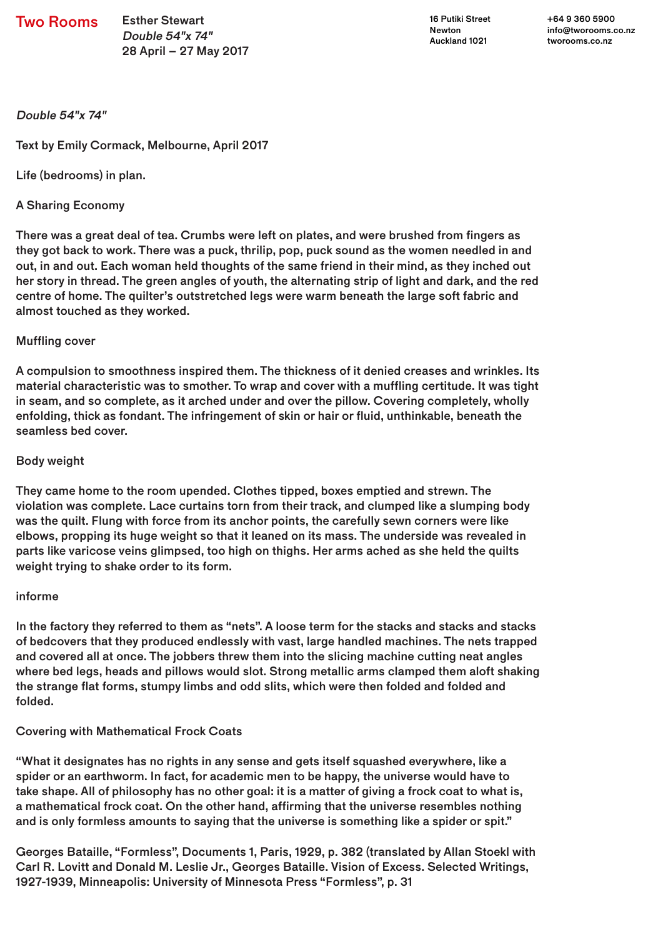Two Rooms Esther Stewart

Double 54"x 74" 28 April – 27 May 2017

16 Putiki Street Newton Auckland 1021

+64 9 360 5900 info@tworooms.co.nz tworooms.co.nz

Double 54"x 74"

Text by Emily Cormack, Melbourne, April 2017

Life (bedrooms) in plan.

# A Sharing Economy

There was a great deal of tea. Crumbs were left on plates, and were brushed from fingers as they got back to work. There was a puck, thrilip, pop, puck sound as the women needled in and out, in and out. Each woman held thoughts of the same friend in their mind, as they inched out her story in thread. The green angles of youth, the alternating strip of light and dark, and the red centre of home. The quilter's outstretched legs were warm beneath the large soft fabric and almost touched as they worked.

## Muffling cover

A compulsion to smoothness inspired them. The thickness of it denied creases and wrinkles. Its material characteristic was to smother. To wrap and cover with a muffling certitude. It was tight in seam, and so complete, as it arched under and over the pillow. Covering completely, wholly enfolding, thick as fondant. The infringement of skin or hair or fluid, unthinkable, beneath the seamless bed cover.

## Body weight

They came home to the room upended. Clothes tipped, boxes emptied and strewn. The violation was complete. Lace curtains torn from their track, and clumped like a slumping body was the quilt. Flung with force from its anchor points, the carefully sewn corners were like elbows, propping its huge weight so that it leaned on its mass. The underside was revealed in parts like varicose veins glimpsed, too high on thighs. Her arms ached as she held the quilts weight trying to shake order to its form.

#### informe

In the factory they referred to them as "nets". A loose term for the stacks and stacks and stacks of bedcovers that they produced endlessly with vast, large handled machines. The nets trapped and covered all at once. The jobbers threw them into the slicing machine cutting neat angles where bed legs, heads and pillows would slot. Strong metallic arms clamped them aloft shaking the strange flat forms, stumpy limbs and odd slits, which were then folded and folded and folded.

#### Covering with Mathematical Frock Coats

"What it designates has no rights in any sense and gets itself squashed everywhere, like a spider or an earthworm. In fact, for academic men to be happy, the universe would have to take shape. All of philosophy has no other goal: it is a matter of giving a frock coat to what is, a mathematical frock coat. On the other hand, affirming that the universe resembles nothing and is only formless amounts to saying that the universe is something like a spider or spit."

Georges Bataille, "Formless", Documents 1, Paris, 1929, p. 382 (translated by Allan Stoekl with Carl R. Lovitt and Donald M. Leslie Jr., Georges Bataille. Vision of Excess. Selected Writings, 1927-1939, Minneapolis: University of Minnesota Press "Formless", p. 31